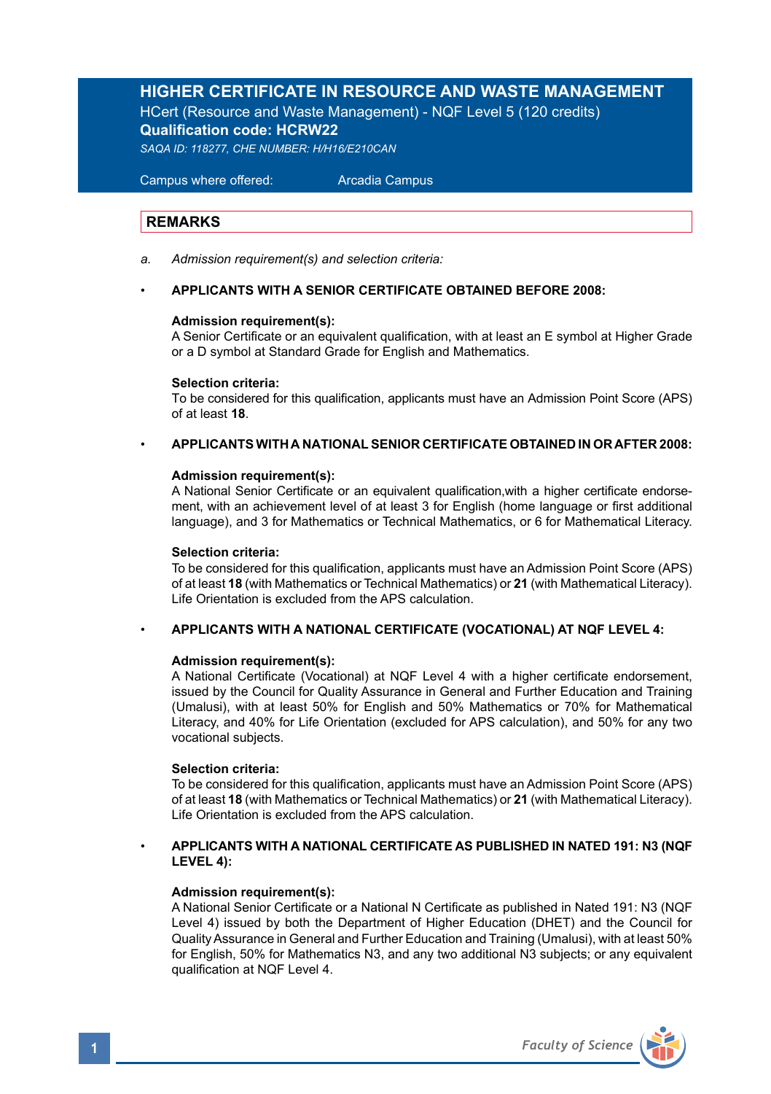# **HIGHER CERTIFICATE IN RESOURCE AND WASTE MANAGEMENT**

HCert (Resource and Waste Management) - NQF Level 5 (120 credits) **Qualification code: HCRW22**

*SAQA ID: 118277, CHE NUMBER: H/H16/E210CAN*

 Campus where offered: Arcadia Campus

### **REMARKS**

*a. Admission requirement(s) and selection criteria:* 

### • **APPLICANTS WITH A SENIOR CERTIFICATE OBTAINED BEFORE 2008:**

### **Admission requirement(s):**

A Senior Certificate or an equivalent qualification, with at least an E symbol at Higher Grade or a D symbol at Standard Grade for English and Mathematics.

### **Selection criteria:**

To be considered for this qualification, applicants must have an Admission Point Score (APS) of at least **18**.

### • **APPLICANTS WITH A NATIONAL SENIOR CERTIFICATE OBTAINED IN OR AFTER 2008:**

### **Admission requirement(s):**

A National Senior Certificate or an equivalent qualification,with a higher certificate endorsement, with an achievement level of at least 3 for English (home language or first additional language), and 3 for Mathematics or Technical Mathematics, or 6 for Mathematical Literacy.

### **Selection criteria:**

To be considered for this qualification, applicants must have an Admission Point Score (APS) of at least **18** (with Mathematics or Technical Mathematics) or **21** (with Mathematical Literacy). Life Orientation is excluded from the APS calculation.

### • **APPLICANTS WITH A NATIONAL CERTIFICATE (VOCATIONAL) AT NQF LEVEL 4:**

### **Admission requirement(s):**

A National Certificate (Vocational) at NQF Level 4 with a higher certificate endorsement, issued by the Council for Quality Assurance in General and Further Education and Training (Umalusi), with at least 50% for English and 50% Mathematics or 70% for Mathematical Literacy, and 40% for Life Orientation (excluded for APS calculation), and 50% for any two vocational subjects.

### **Selection criteria:**

To be considered for this qualification, applicants must have an Admission Point Score (APS) of at least **18** (with Mathematics or Technical Mathematics) or **21** (with Mathematical Literacy). Life Orientation is excluded from the APS calculation.

### • **APPLICANTS WITH A NATIONAL CERTIFICATE AS PUBLISHED IN NATED 191: N3 (NQF LEVEL 4):**

### **Admission requirement(s):**

A National Senior Certificate or a National N Certificate as published in Nated 191: N3 (NQF Level 4) issued by both the Department of Higher Education (DHET) and the Council for Quality Assurance in General and Further Education and Training (Umalusi), with at least 50% for English, 50% for Mathematics N3, and any two additional N3 subjects; or any equivalent qualification at NQF Level 4.

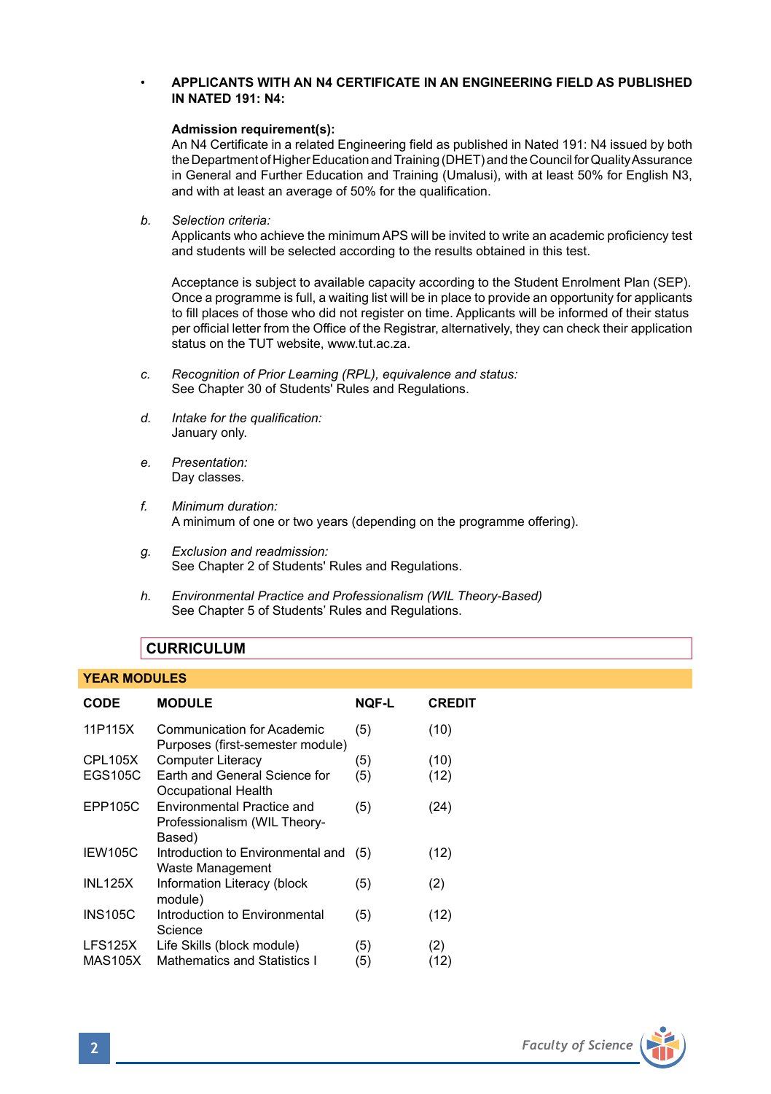## • **APPLICANTS WITH AN N4 CERTIFICATE IN AN ENGINEERING FIELD AS PUBLISHED IN NATED 191: N4:**

### **Admission requirement(s):**

An N4 Certificate in a related Engineering field as published in Nated 191: N4 issued by both the Department of Higher Education and Training (DHET) and the Council for Quality Assurance in General and Further Education and Training (Umalusi), with at least 50% for English N3, and with at least an average of 50% for the qualification.

*b. Selection criteria:*

Applicants who achieve the minimum APS will be invited to write an academic proficiency test and students will be selected according to the results obtained in this test.

Acceptance is subject to available capacity according to the Student Enrolment Plan (SEP). Once a programme is full, a waiting list will be in place to provide an opportunity for applicants to fill places of those who did not register on time. Applicants will be informed of their status per official letter from the Office of the Registrar, alternatively, they can check their application status on the TUT website, www.tut.ac.za.

- *c. Recognition of Prior Learning (RPL), equivalence and status:* See Chapter 30 of Students' Rules and Regulations.
- *d. Intake for the qualification:* January only.
- *e. Presentation:* Day classes.
- *f. Minimum duration:* A minimum of one or two years (depending on the programme offering).
- *g. Exclusion and readmission:* See Chapter 2 of Students' Rules and Regulations.
- *h. Environmental Practice and Professionalism (WIL Theory-Based)* See Chapter 5 of Students' Rules and Regulations.

# **CURRICULUM**

### **YEAR MODULES**

| CODE                      | <b>MODULE</b>                                                        | NOF-L      | <b>CREDIT</b> |
|---------------------------|----------------------------------------------------------------------|------------|---------------|
| 11P115X                   | Communication for Academic<br>Purposes (first-semester module)       | (5)        | (10)          |
| <b>CPL105X</b>            | <b>Computer Literacy</b>                                             | (5)        | (10)          |
| EGS105C                   | Earth and General Science for<br>Occupational Health                 | (5)        | (12)          |
| EPP105C                   | Environmental Practice and<br>Professionalism (WIL Theory-<br>Based) | (5)        | (24)          |
| IEW105C                   | Introduction to Environmental and<br>Waste Management                | (5)        | (12)          |
| <b>INL125X</b>            | Information Literacy (block<br>module)                               | (5)        | (2)           |
| <b>INS105C</b>            | Introduction to Environmental<br>Science                             | (5)        | (12)          |
| LFS125X<br><b>MAS105X</b> | Life Skills (block module)<br>Mathematics and Statistics I           | (5)<br>(5) | (2)<br>(12)   |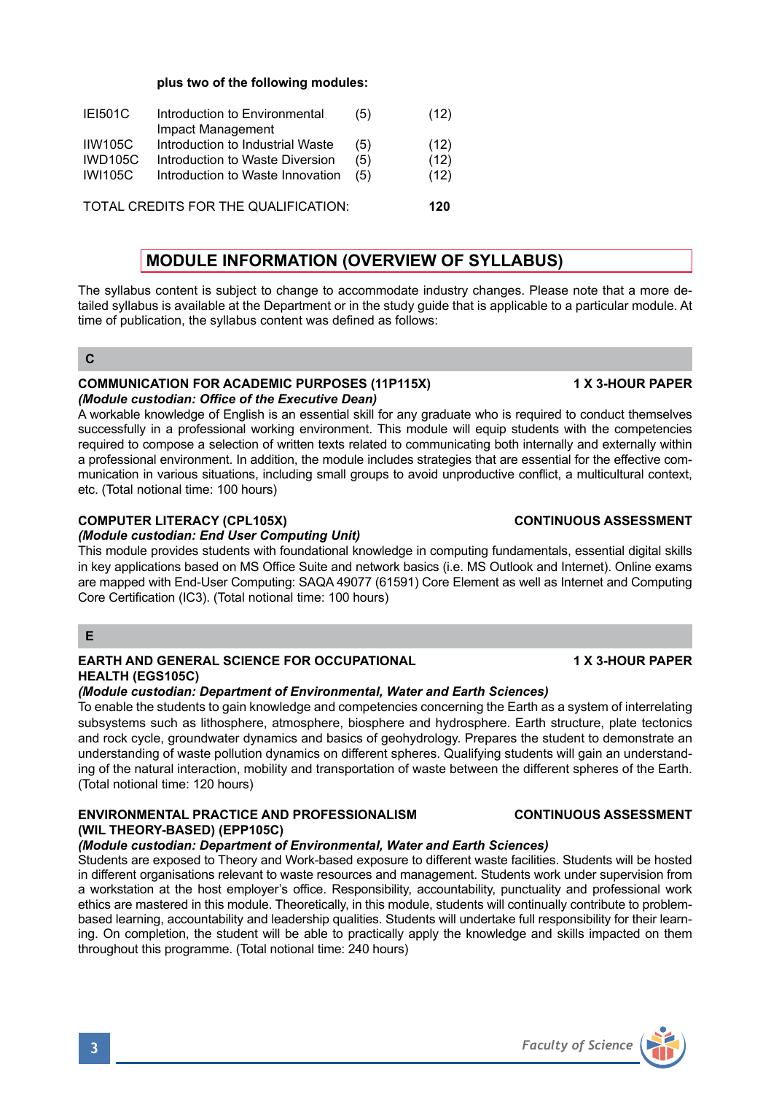**plus two of the following modules:** 

| <b>IEI501C</b>                       | Introduction to Environmental    | (5) | (12) |
|--------------------------------------|----------------------------------|-----|------|
|                                      | Impact Management                |     |      |
| <b>IIW105C</b>                       | Introduction to Industrial Waste | (5) | (12) |
| <b>IWD105C</b>                       | Introduction to Waste Diversion  | (5) | (12) |
| <b>IWI105C</b>                       | Introduction to Waste Innovation | (5) | (12) |
|                                      |                                  |     |      |
| TOTAL CREDITS FOR THE QUALIFICATION: |                                  |     |      |

# **MODULE INFORMATION (OVERVIEW OF SYLLABUS)**

The syllabus content is subject to change to accommodate industry changes. Please note that a more detailed syllabus is available at the Department or in the study guide that is applicable to a particular module. At time of publication, the syllabus content was defined as follows:

### **C**

# **COMMUNICATION FOR ACADEMIC PURPOSES (11P115X) 1 X 3-HOUR PAPER** *(Module custodian: Office of the Executive Dean)*

A workable knowledge of English is an essential skill for any graduate who is required to conduct themselves successfully in a professional working environment. This module will equip students with the competencies required to compose a selection of written texts related to communicating both internally and externally within a professional environment. In addition, the module includes strategies that are essential for the effective communication in various situations, including small groups to avoid unproductive conflict, a multicultural context, etc. (Total notional time: 100 hours)

# **COMPUTER LITERACY (CPL105X) CONTINUOUS ASSESSMENT**

# *(Module custodian: End User Computing Unit)*

This module provides students with foundational knowledge in computing fundamentals, essential digital skills in key applications based on MS Office Suite and network basics (i.e. MS Outlook and Internet). Online exams are mapped with End-User Computing: SAQA 49077 (61591) Core Element as well as Internet and Computing Core Certification (IC3). (Total notional time: 100 hours)

### **E**

## **EARTH AND GENERAL SCIENCE FOR OCCUPATIONAL 1 X 3-HOUR PAPER HEALTH (EGS105C)**

### *(Module custodian: Department of Environmental, Water and Earth Sciences)*

To enable the students to gain knowledge and competencies concerning the Earth as a system of interrelating subsystems such as lithosphere, atmosphere, biosphere and hydrosphere. Earth structure, plate tectonics and rock cycle, groundwater dynamics and basics of geohydrology. Prepares the student to demonstrate an understanding of waste pollution dynamics on different spheres. Qualifying students will gain an understanding of the natural interaction, mobility and transportation of waste between the different spheres of the Earth. (Total notional time: 120 hours)

# **ENVIRONMENTAL PRACTICE AND PROFESSIONALISM CONTINUOUS ASSESSMENT (WIL THEORY-BASED) (EPP105C)**

# *(Module custodian: Department of Environmental, Water and Earth Sciences)*

Students are exposed to Theory and Work-based exposure to different waste facilities. Students will be hosted in different organisations relevant to waste resources and management. Students work under supervision from a workstation at the host employer's office. Responsibility, accountability, punctuality and professional work ethics are mastered in this module. Theoretically, in this module, students will continually contribute to problembased learning, accountability and leadership qualities. Students will undertake full responsibility for their learning. On completion, the student will be able to practically apply the knowledge and skills impacted on them throughout this programme. (Total notional time: 240 hours)

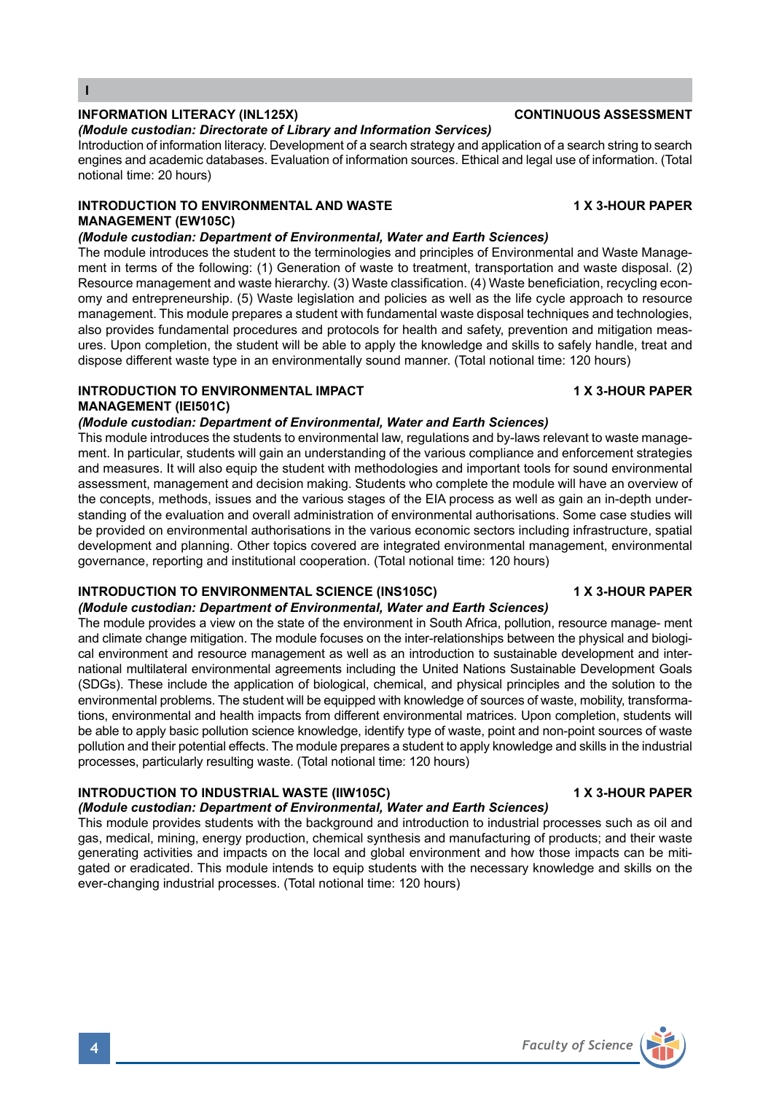### **INFORMATION LITERACY (INL125X) CONTINUOUS ASSESSMENT**

### *(Module custodian: Directorate of Library and Information Services)*

Introduction of information literacy. Development of a search strategy and application of a search string to search engines and academic databases. Evaluation of information sources. Ethical and legal use of information. (Total notional time: 20 hours)

# **INTRODUCTION TO ENVIRONMENTAL AND WASTE 4 X 3-HOUR PAPER MANAGEMENT (EW105C)**

# *(Module custodian: Department of Environmental, Water and Earth Sciences)*

The module introduces the student to the terminologies and principles of Environmental and Waste Management in terms of the following: (1) Generation of waste to treatment, transportation and waste disposal. (2) Resource management and waste hierarchy. (3) Waste classification. (4) Waste beneficiation, recycling economy and entrepreneurship. (5) Waste legislation and policies as well as the life cycle approach to resource management. This module prepares a student with fundamental waste disposal techniques and technologies, also provides fundamental procedures and protocols for health and safety, prevention and mitigation measures. Upon completion, the student will be able to apply the knowledge and skills to safely handle, treat and dispose different waste type in an environmentally sound manner. (Total notional time: 120 hours)

### **INTRODUCTION TO ENVIRONMENTAL IMPACT 4 X 3-HOUR PAPER MANAGEMENT (IEI501C)**

### *(Module custodian: Department of Environmental, Water and Earth Sciences)*

This module introduces the students to environmental law, regulations and by-laws relevant to waste management. In particular, students will gain an understanding of the various compliance and enforcement strategies and measures. It will also equip the student with methodologies and important tools for sound environmental assessment, management and decision making. Students who complete the module will have an overview of the concepts, methods, issues and the various stages of the EIA process as well as gain an in-depth understanding of the evaluation and overall administration of environmental authorisations. Some case studies will be provided on environmental authorisations in the various economic sectors including infrastructure, spatial development and planning. Other topics covered are integrated environmental management, environmental governance, reporting and institutional cooperation. (Total notional time: 120 hours)

### **INTRODUCTION TO ENVIRONMENTAL SCIENCE (INS105C) 1 X 3-HOUR PAPER** *(Module custodian: Department of Environmental, Water and Earth Sciences)*

The module provides a view on the state of the environment in South Africa, pollution, resource manage- ment and climate change mitigation. The module focuses on the inter-relationships between the physical and biological environment and resource management as well as an introduction to sustainable development and international multilateral environmental agreements including the United Nations Sustainable Development Goals (SDGs). These include the application of biological, chemical, and physical principles and the solution to the environmental problems. The student will be equipped with knowledge of sources of waste, mobility, transformations, environmental and health impacts from different environmental matrices. Upon completion, students will be able to apply basic pollution science knowledge, identify type of waste, point and non-point sources of waste pollution and their potential effects. The module prepares a student to apply knowledge and skills in the industrial processes, particularly resulting waste. (Total notional time: 120 hours)

### **INTRODUCTION TO INDUSTRIAL WASTE (IIW105C) 4 X 3-HOUR PAPER**

# *(Module custodian: Department of Environmental, Water and Earth Sciences)*

This module provides students with the background and introduction to industrial processes such as oil and gas, medical, mining, energy production, chemical synthesis and manufacturing of products; and their waste generating activities and impacts on the local and global environment and how those impacts can be mitigated or eradicated. This module intends to equip students with the necessary knowledge and skills on the ever-changing industrial processes. (Total notional time: 120 hours)